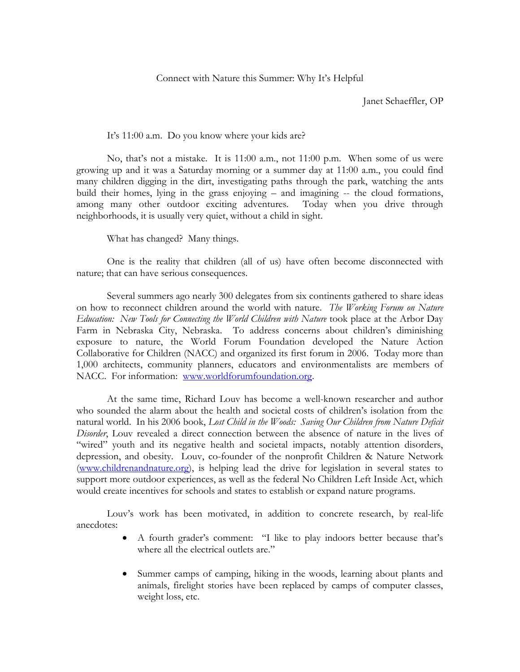Janet Schaeffler, OP

It's 11:00 a.m. Do you know where your kids are?

No, that's not a mistake. It is 11:00 a.m., not 11:00 p.m. When some of us were growing up and it was a Saturday morning or a summer day at 11:00 a.m., you could find many children digging in the dirt, investigating paths through the park, watching the ants build their homes, lying in the grass enjoying – and imagining -- the cloud formations, among many other outdoor exciting adventures. Today when you drive through neighborhoods, it is usually very quiet, without a child in sight.

What has changed? Many things.

One is the reality that children (all of us) have often become disconnected with nature; that can have serious consequences.

Several summers ago nearly 300 delegates from six continents gathered to share ideas on how to reconnect children around the world with nature. *The Working Forum on Nature Education: New Tools for Connecting the World Children with Nature* took place at the Arbor Day Farm in Nebraska City, Nebraska. To address concerns about children's diminishing exposure to nature, the World Forum Foundation developed the Nature Action Collaborative for Children (NACC) and organized its first forum in 2006. Today more than 1,000 architects, community planners, educators and environmentalists are members of NACC. For information: [www.worldforumfoundation.org.](http://www.worldforumfoundation.org/)

At the same time, Richard Louv has become a well-known researcher and author who sounded the alarm about the health and societal costs of children's isolation from the natural world. In his 2006 book, *Lost Child in the Woods: Saving Our Children from Nature Deficit Disorder*, Louv revealed a direct connection between the absence of nature in the lives of "wired" youth and its negative health and societal impacts, notably attention disorders, depression, and obesity. Louv, co-founder of the nonprofit Children & Nature Network [\(www.childrenandnature.org\)](http://www.childrenandnature.org/), is helping lead the drive for legislation in several states to support more outdoor experiences, as well as the federal No Children Left Inside Act, which would create incentives for schools and states to establish or expand nature programs.

Louv's work has been motivated, in addition to concrete research, by real-life anecdotes:

- A fourth grader's comment: "I like to play indoors better because that's where all the electrical outlets are."
- Summer camps of camping, hiking in the woods, learning about plants and animals, firelight stories have been replaced by camps of computer classes, weight loss, etc.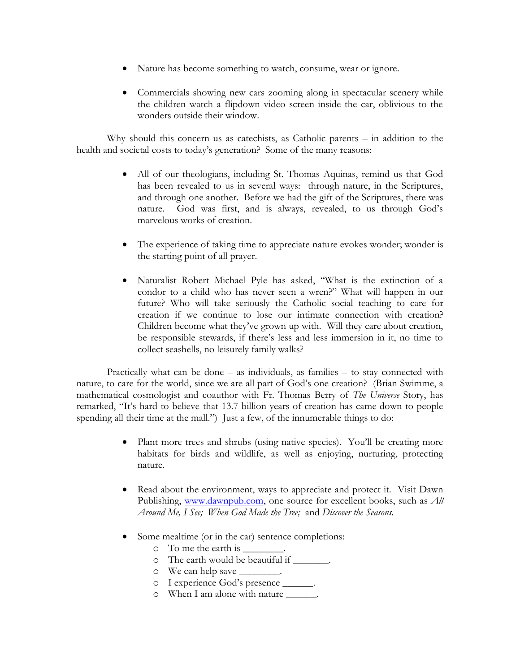- Nature has become something to watch, consume, wear or ignore.
- Commercials showing new cars zooming along in spectacular scenery while the children watch a flipdown video screen inside the car, oblivious to the wonders outside their window.

Why should this concern us as catechists, as Catholic parents – in addition to the health and societal costs to today's generation? Some of the many reasons:

- All of our theologians, including St. Thomas Aquinas, remind us that God has been revealed to us in several ways: through nature, in the Scriptures, and through one another. Before we had the gift of the Scriptures, there was nature. God was first, and is always, revealed, to us through God's marvelous works of creation.
- The experience of taking time to appreciate nature evokes wonder; wonder is the starting point of all prayer.
- Naturalist Robert Michael Pyle has asked, "What is the extinction of a condor to a child who has never seen a wren?" What will happen in our future? Who will take seriously the Catholic social teaching to care for creation if we continue to lose our intimate connection with creation? Children become what they've grown up with. Will they care about creation, be responsible stewards, if there's less and less immersion in it, no time to collect seashells, no leisurely family walks?

Practically what can be done – as individuals, as families – to stay connected with nature, to care for the world, since we are all part of God's one creation? (Brian Swimme, a mathematical cosmologist and coauthor with Fr. Thomas Berry of *The Universe* Story, has remarked, "It's hard to believe that 13.7 billion years of creation has came down to people spending all their time at the mall.") Just a few, of the innumerable things to do:

- Plant more trees and shrubs (using native species). You'll be creating more habitats for birds and wildlife, as well as enjoying, nurturing, protecting nature.
- Read about the environment, ways to appreciate and protect it. Visit Dawn Publishing, [www.dawnpub.com,](http://www.dawnpub.com/) one source for excellent books, such as *All Around Me, I See; When God Made the Tree;* and *Discover the Seasons.*
- Some mealtime (or in the car) sentence completions:
	- $\circ$  To me the earth is
	- o The earth would be beautiful if \_\_\_\_\_\_\_.
	- o We can help save \_\_\_\_\_\_\_\_.
	- o I experience God's presence \_\_\_\_\_\_.
	- o When I am alone with nature \_\_\_\_\_\_.